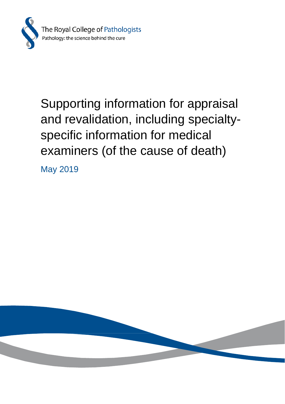

# Supporting information for appraisal and revalidation, including specialtyspecific information for medical examiners (of the cause of death)

May 2019

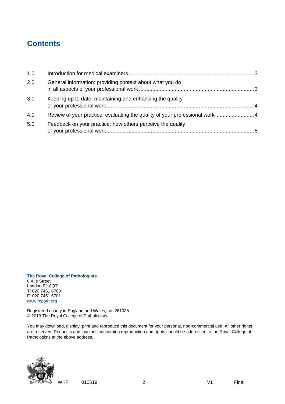# **Contents**

| 1.0 |                                                                            |  |
|-----|----------------------------------------------------------------------------|--|
| 2.0 | General information: providing context about what you do                   |  |
| 3.0 | Keeping up to date: maintaining and enhancing the quality                  |  |
| 4.0 | Review of your practice: evaluating the quality of your professional work4 |  |
| 5.0 | Feedback on your practice: how others perceive the quality                 |  |

#### **The Royal College of Pathologists** 6 Alie Street London E1 8QT T: 020 7451 6700 F: 020 7451 6701 [www.rcpath.org](http://www.rcpath.org/)

Registered charity in England and Wales, no. 261035 © 2019 The Royal College of Pathologists

You may download, display, print and reproduce this document for your personal, non-commercial use. All other rights are reserved. Requests and inquiries concerning reproduction and rights should be addressed to the Royal College of Pathologists at the above address.



WKF 010519 2 V1 Final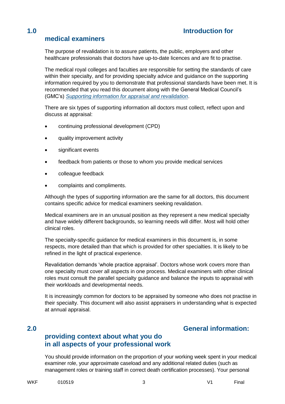# <span id="page-2-0"></span>**1.0 Introduction for**

# **medical examiners**

The purpose of revalidation is to assure patients, the public, employers and other healthcare professionals that doctors have up-to-date licences and are fit to practise.

The medical royal colleges and faculties are responsible for setting the standards of care within their specialty, and for providing specialty advice and guidance on the supporting information required by you to demonstrate that professional standards have been met. It is recommended that you read this document along with the General Medical Council's (GMC's) *[Supporting information for appraisal and revalidation](file://///volumes/image_library_copy2/Publications/Professionalism/Medical%20examiners/AppData/Local/Microsoft/Windows/Temporary%20Internet%20Files/Content.Outlook/5COOJEI8/We%20recommend%20that%20you%20read%20this%20document%20along%20with%20the%20GMC’s%20‘Supporting%20information%20for%20appraisal%20and%20revalidation’.)*.

There are six types of supporting information all doctors must collect, reflect upon and discuss at appraisal:

- continuing professional development (CPD)
- quality improvement activity
- significant events
- feedback from patients or those to whom you provide medical services
- colleague feedback
- complaints and compliments.

Although the types of supporting information are the same for all doctors, this document contains specific advice for medical examiners seeking revalidation.

Medical examiners are in an unusual position as they represent a new medical specialty and have widely different backgrounds, so learning needs will differ. Most will hold other clinical roles.

The specialty-specific guidance for medical examiners in this document is, in some respects, more detailed than that which is provided for other specialties. It is likely to be refined in the light of practical experience.

Revalidation demands 'whole practice appraisal'. Doctors whose work covers more than one specialty must cover all aspects in one process. Medical examiners with other clinical roles must consult the parallel specialty guidance and balance the inputs to appraisal with their workloads and developmental needs.

<span id="page-2-1"></span>It is increasingly common for doctors to be appraised by someone who does not practise in their specialty. This document will also assist appraisers in understanding what is expected at annual appraisal.

# **2.0 General information:**

# **providing context about what you do in all aspects of your professional work**

You should provide information on the proportion of your working week spent in your medical examiner role, your approximate caseload and any additional related duties (such as management roles or training staff in correct death certification processes). Your personal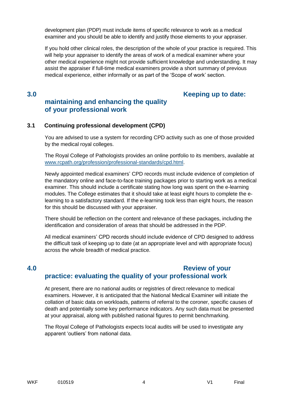development plan (PDP) must include items of specific relevance to work as a medical examiner and you should be able to identify and justify those elements to your appraiser.

If you hold other clinical roles, the description of the whole of your practice is required. This will help your appraiser to identify the areas of work of a medical examiner where your other medical experience might not provide sufficient knowledge and understanding. It may assist the appraiser if full-time medical examiners provide a short summary of previous medical experience, either informally or as part of the 'Scope of work' section.

## <span id="page-3-0"></span>**3.0 Keeping up to date: maintaining and enhancing the quality of your professional work**

### **3.1 Continuing professional development (CPD)**

You are advised to use a system for recording CPD activity such as one of those provided by the medical royal colleges.

The Royal College of Pathologists provides an online portfolio to its members, available at [www.rcpath.org/profession/professional-standards/cpd.html.](http://www.rcpath.org/profession/professional-standards/cpd.html)

Newly appointed medical examiners' CPD records must include evidence of completion of the mandatory online and face-to-face training packages prior to starting work as a medical examiner. This should include a certificate stating how long was spent on the e-learning modules. The College estimates that it should take at least eight hours to complete the elearning to a satisfactory standard. If the e-learning took less than eight hours, the reason for this should be discussed with your appraiser.

There should be reflection on the content and relevance of these packages, including the identification and consideration of areas that should be addressed in the PDP.

All medical examiners' CPD records should include evidence of CPD designed to address the difficult task of keeping up to date (at an appropriate level and with appropriate focus) across the whole breadth of medical practice.

# <span id="page-3-1"></span>**4.0 Review of your practice: evaluating the quality of your professional work**

At present, there are no national audits or registries of direct relevance to medical examiners. However, it is anticipated that the National Medical Examiner will initiate the collation of basic data on workloads, patterns of referral to the coroner, specific causes of death and potentially some key performance indicators. Any such data must be presented at your appraisal, along with published national figures to permit benchmarking.

The Royal College of Pathologists expects local audits will be used to investigate any apparent 'outliers' from national data.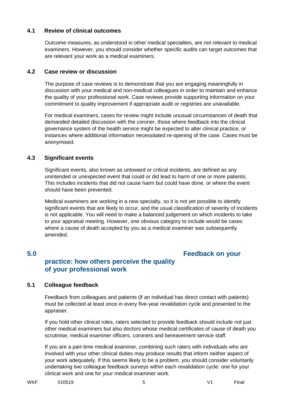#### **4.1 Review of clinical outcomes**

Outcome measures, as understood in other medical specialties, are not relevant to medical examiners. However, you should consider whether specific audits can target outcomes that are relevant your work as a medical examiners.

#### **4.2 Case review or discussion**

The purpose of case reviews is to demonstrate that you are engaging meaningfully in discussion with your medical and non-medical colleagues in order to maintain and enhance the quality of your professional work. Case reviews provide supporting information on your commitment to quality improvement if appropriate audit or registries are unavailable.

For medical examiners, cases for review might include unusual circumstances of death that demanded detailed discussion with the coroner, those where feedback into the clinical governance system of the health service might be expected to alter clinical practice, or instances where additional information necessitated re-opening of the case. Cases must be anonymised.

### **4.3 Significant events**

Significant events, also known as untoward or critical incidents, are defined as any unintended or unexpected event that could or did lead to harm of one or more patients. This includes incidents that did not cause harm but could have done, or where the event should have been prevented.

Medical examiners are working in a new specialty, so it is not yet possible to identify significant events that are likely to occur, and the usual classification of severity of incidents is not applicable. You will need to make a balanced judgement on which incidents to take to your appraisal meeting. However, one obvious category to include would be cases where a cause of death accepted by you as a medical examiner was subsequently amended.

# <span id="page-4-0"></span>**5.0 Feedback on your**

# **practice: how others perceive the quality of your professional work**

### **5.1 Colleague feedback**

Feedback from colleagues and patients (if an individual has direct contact with patients) must be collected at least once in every five-year revalidation cycle and presented to the appraiser.

If you hold other clinical roles, raters selected to provide feedback should include not just other medical examiners but also doctors whose medical certificates of cause of death you scrutinise, medical examiner officers, coroners and bereavement service staff.

If you are a part-time medical examiner, combining such raters with individuals who are involved with your other clinical duties may produce results that inform neither aspect of your work adequately. If this seems likely to be a problem, you should consider voluntarily undertaking two colleague feedback surveys within each revalidation cycle: one for your clinical work and one for your medical examiner work.